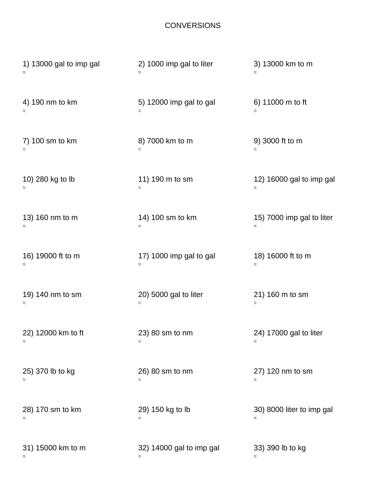## **CONVERSIONS**

| 1) 13000 gal to imp gal | 2) 1000 imp gal to liter<br>$\approx$ | 3) 13000 km to m<br>$\approx$         |
|-------------------------|---------------------------------------|---------------------------------------|
| 4) 190 nm to km         | 5) 12000 imp gal to gal<br>$\approx$  | 6) 11000 m to ft<br>$\approx$         |
| 7) 100 sm to km         | 8) 7000 km to m                       | 9) 3000 ft to m                       |
| $\approx$               | $\approx$                             | $\approx$                             |
| 10) 280 kg to lb        | 11) 190 m to sm<br>$\approx$          | 12) 16000 gal to imp gal<br>$\approx$ |
| 13) 160 nm to m         | 14) 100 sm to km                      | 15) 7000 imp gal to liter             |
| $\approx$               | $\approx$                             | $\approx$                             |
| 16) 19000 ft to m       | 17) 1000 imp gal to gal               | 18) 16000 ft to m                     |
| $\thickapprox$          | $\approx$                             | $\approx$                             |
| 19) 140 nm to sm        | 20) 5000 gal to liter                 | 21) 160 m to sm                       |
| $\thickapprox$          | $\approx$                             | $\approx$                             |
| 22) 12000 km to ft      | 23) 80 sm to nm                       | 24) 17000 gal to liter                |
| $\approx$               | $\approx$                             | $\approx$                             |
| 25) 370 lb to kg        | 26) 80 sm to nm                       | 27) 120 nm to sm                      |
| $\approx$               | $\approx$                             | $\approx$                             |
| 28) 170 sm to km        | 29) 150 kg to lb                      | 30) 8000 liter to imp gal             |
| $\approx$               | $\approx$                             | $\approx$                             |
| 31) 15000 km to m       | 32) 14000 gal to imp gal              | 33) 390 lb to kg                      |
| $\approx$               | $\approx$                             | $\approx$                             |